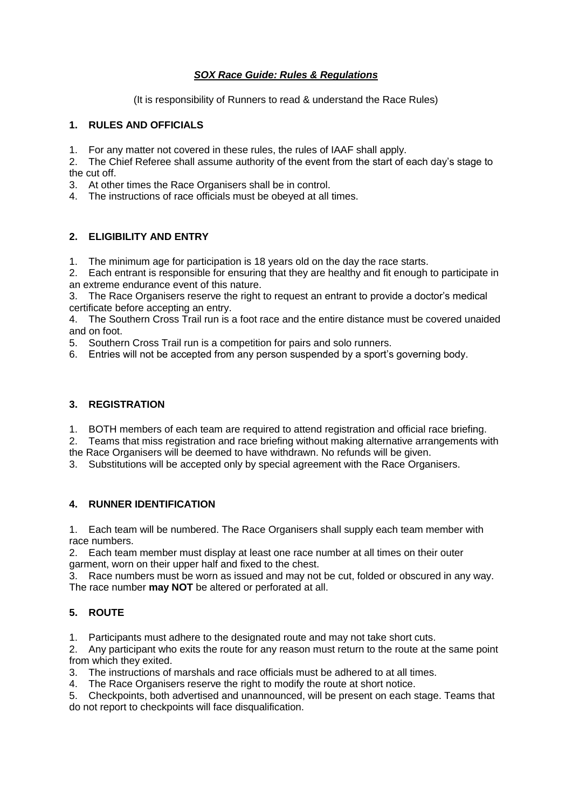# *SOX Race Guide: Rules & Regulations*

(It is responsibility of Runners to read & understand the Race Rules)

## **1. RULES AND OFFICIALS**

- 1. For any matter not covered in these rules, the rules of IAAF shall apply.
- 2. The Chief Referee shall assume authority of the event from the start of each day's stage to the cut off.
- 3. At other times the Race Organisers shall be in control.
- 4. The instructions of race officials must be obeyed at all times.

# **2. ELIGIBILITY AND ENTRY**

1. The minimum age for participation is 18 years old on the day the race starts.

2. Each entrant is responsible for ensuring that they are healthy and fit enough to participate in an extreme endurance event of this nature.

3. The Race Organisers reserve the right to request an entrant to provide a doctor's medical certificate before accepting an entry.

4. The Southern Cross Trail run is a foot race and the entire distance must be covered unaided and on foot.

5. Southern Cross Trail run is a competition for pairs and solo runners.

6. Entries will not be accepted from any person suspended by a sport's governing body.

#### **3. REGISTRATION**

1. BOTH members of each team are required to attend registration and official race briefing.

2. Teams that miss registration and race briefing without making alternative arrangements with the Race Organisers will be deemed to have withdrawn. No refunds will be given.

3. Substitutions will be accepted only by special agreement with the Race Organisers.

## **4. RUNNER IDENTIFICATION**

1. Each team will be numbered. The Race Organisers shall supply each team member with race numbers.

2. Each team member must display at least one race number at all times on their outer garment, worn on their upper half and fixed to the chest.

3. Race numbers must be worn as issued and may not be cut, folded or obscured in any way. The race number **may NOT** be altered or perforated at all.

## **5. ROUTE**

1. Participants must adhere to the designated route and may not take short cuts.

2. Any participant who exits the route for any reason must return to the route at the same point from which they exited.

3. The instructions of marshals and race officials must be adhered to at all times.

4. The Race Organisers reserve the right to modify the route at short notice.

5. Checkpoints, both advertised and unannounced, will be present on each stage. Teams that do not report to checkpoints will face disqualification.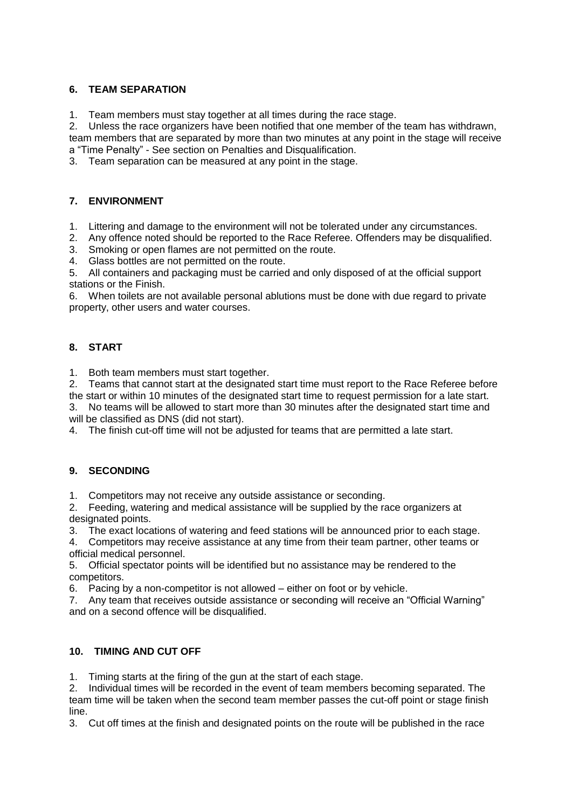# **6. TEAM SEPARATION**

1. Team members must stay together at all times during the race stage.

2. Unless the race organizers have been notified that one member of the team has withdrawn,

team members that are separated by more than two minutes at any point in the stage will receive a "Time Penalty" - See section on Penalties and Disqualification.

3. Team separation can be measured at any point in the stage.

## **7. ENVIRONMENT**

- 1. Littering and damage to the environment will not be tolerated under any circumstances.
- 2. Any offence noted should be reported to the Race Referee. Offenders may be disqualified.
- 3. Smoking or open flames are not permitted on the route.
- 4. Glass bottles are not permitted on the route.

5. All containers and packaging must be carried and only disposed of at the official support stations or the Finish.

6. When toilets are not available personal ablutions must be done with due regard to private property, other users and water courses.

# **8. START**

1. Both team members must start together.

2. Teams that cannot start at the designated start time must report to the Race Referee before the start or within 10 minutes of the designated start time to request permission for a late start.

3. No teams will be allowed to start more than 30 minutes after the designated start time and will be classified as DNS (did not start).

4. The finish cut-off time will not be adjusted for teams that are permitted a late start.

# **9. SECONDING**

1. Competitors may not receive any outside assistance or seconding.

2. Feeding, watering and medical assistance will be supplied by the race organizers at designated points.

3. The exact locations of watering and feed stations will be announced prior to each stage.

4. Competitors may receive assistance at any time from their team partner, other teams or official medical personnel.

5. Official spectator points will be identified but no assistance may be rendered to the competitors.

6. Pacing by a non-competitor is not allowed – either on foot or by vehicle.

7. Any team that receives outside assistance or seconding will receive an "Official Warning" and on a second offence will be disqualified.

# **10. TIMING AND CUT OFF**

1. Timing starts at the firing of the gun at the start of each stage.

2. Individual times will be recorded in the event of team members becoming separated. The team time will be taken when the second team member passes the cut-off point or stage finish line.

3. Cut off times at the finish and designated points on the route will be published in the race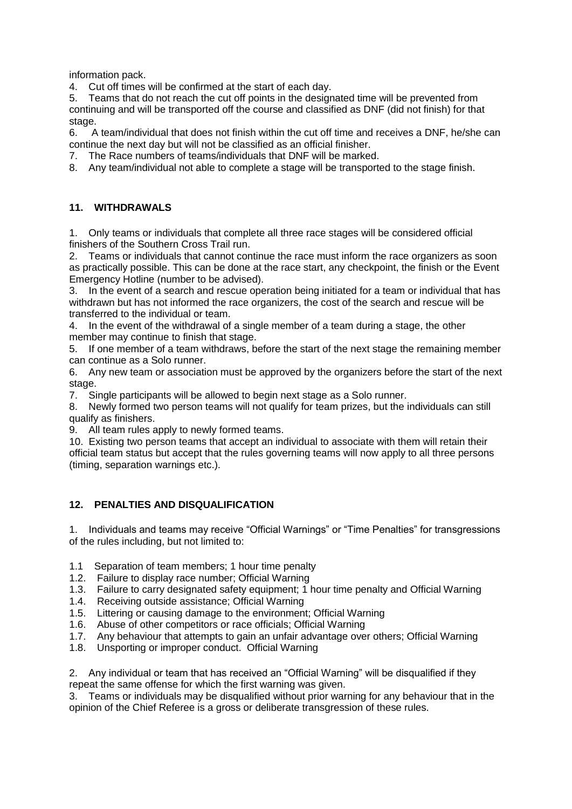information pack.

4. Cut off times will be confirmed at the start of each day.

5. Teams that do not reach the cut off points in the designated time will be prevented from continuing and will be transported off the course and classified as DNF (did not finish) for that stage.

6. A team/individual that does not finish within the cut off time and receives a DNF, he/she can continue the next day but will not be classified as an official finisher.

7. The Race numbers of teams/individuals that DNF will be marked.

8. Any team/individual not able to complete a stage will be transported to the stage finish.

#### **11. WITHDRAWALS**

1. Only teams or individuals that complete all three race stages will be considered official finishers of the Southern Cross Trail run.

2. Teams or individuals that cannot continue the race must inform the race organizers as soon as practically possible. This can be done at the race start, any checkpoint, the finish or the Event Emergency Hotline (number to be advised).

3. In the event of a search and rescue operation being initiated for a team or individual that has withdrawn but has not informed the race organizers, the cost of the search and rescue will be transferred to the individual or team.

4. In the event of the withdrawal of a single member of a team during a stage, the other member may continue to finish that stage.

5. If one member of a team withdraws, before the start of the next stage the remaining member can continue as a Solo runner.

6. Any new team or association must be approved by the organizers before the start of the next stage.

7. Single participants will be allowed to begin next stage as a Solo runner.

8. Newly formed two person teams will not qualify for team prizes, but the individuals can still qualify as finishers.

9. All team rules apply to newly formed teams.

10. Existing two person teams that accept an individual to associate with them will retain their official team status but accept that the rules governing teams will now apply to all three persons (timing, separation warnings etc.).

## **12. PENALTIES AND DISQUALIFICATION**

1. Individuals and teams may receive "Official Warnings" or "Time Penalties" for transgressions of the rules including, but not limited to:

- 1.1 Separation of team members; 1 hour time penalty
- 1.2. Failure to display race number; Official Warning
- 1.3. Failure to carry designated safety equipment; 1 hour time penalty and Official Warning
- 1.4. Receiving outside assistance; Official Warning
- 1.5. Littering or causing damage to the environment; Official Warning
- 1.6. Abuse of other competitors or race officials; Official Warning
- 1.7. Any behaviour that attempts to gain an unfair advantage over others; Official Warning
- 1.8. Unsporting or improper conduct. Official Warning

2. Any individual or team that has received an "Official Warning" will be disqualified if they repeat the same offense for which the first warning was given.

3. Teams or individuals may be disqualified without prior warning for any behaviour that in the opinion of the Chief Referee is a gross or deliberate transgression of these rules.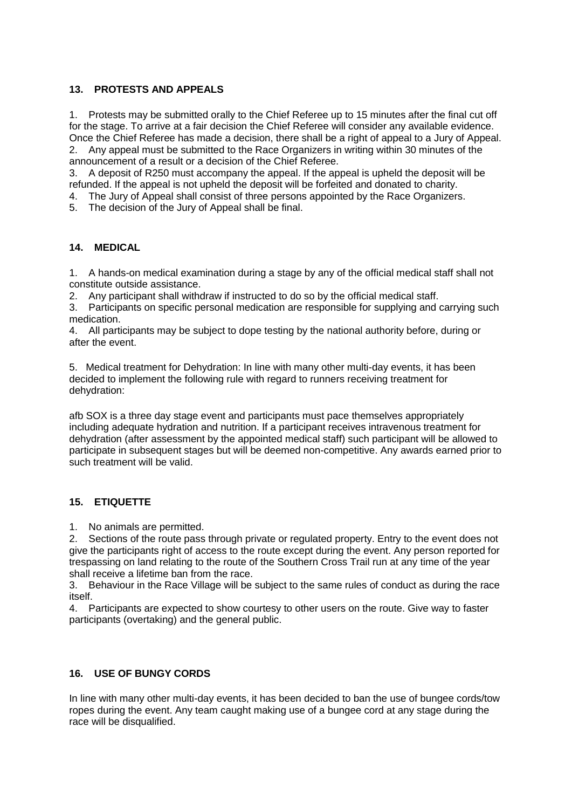## **13. PROTESTS AND APPEALS**

1. Protests may be submitted orally to the Chief Referee up to 15 minutes after the final cut off for the stage. To arrive at a fair decision the Chief Referee will consider any available evidence. Once the Chief Referee has made a decision, there shall be a right of appeal to a Jury of Appeal. 2. Any appeal must be submitted to the Race Organizers in writing within 30 minutes of the

announcement of a result or a decision of the Chief Referee.

3. A deposit of R250 must accompany the appeal. If the appeal is upheld the deposit will be refunded. If the appeal is not upheld the deposit will be forfeited and donated to charity.

4. The Jury of Appeal shall consist of three persons appointed by the Race Organizers.

5. The decision of the Jury of Appeal shall be final.

## **14. MEDICAL**

1. A hands-on medical examination during a stage by any of the official medical staff shall not constitute outside assistance.

2. Any participant shall withdraw if instructed to do so by the official medical staff.

3. Participants on specific personal medication are responsible for supplying and carrying such medication.

4. All participants may be subject to dope testing by the national authority before, during or after the event.

5. Medical treatment for Dehydration: In line with many other multi-day events, it has been decided to implement the following rule with regard to runners receiving treatment for dehydration:

afb SOX is a three day stage event and participants must pace themselves appropriately including adequate hydration and nutrition. If a participant receives intravenous treatment for dehydration (after assessment by the appointed medical staff) such participant will be allowed to participate in subsequent stages but will be deemed non-competitive. Any awards earned prior to such treatment will be valid.

## **15. ETIQUETTE**

1. No animals are permitted.

2. Sections of the route pass through private or regulated property. Entry to the event does not give the participants right of access to the route except during the event. Any person reported for trespassing on land relating to the route of the Southern Cross Trail run at any time of the year shall receive a lifetime ban from the race.

3. Behaviour in the Race Village will be subject to the same rules of conduct as during the race itself.

4. Participants are expected to show courtesy to other users on the route. Give way to faster participants (overtaking) and the general public.

## **16. USE OF BUNGY CORDS**

In line with many other multi-day events, it has been decided to ban the use of bungee cords/tow ropes during the event. Any team caught making use of a bungee cord at any stage during the race will be disqualified.